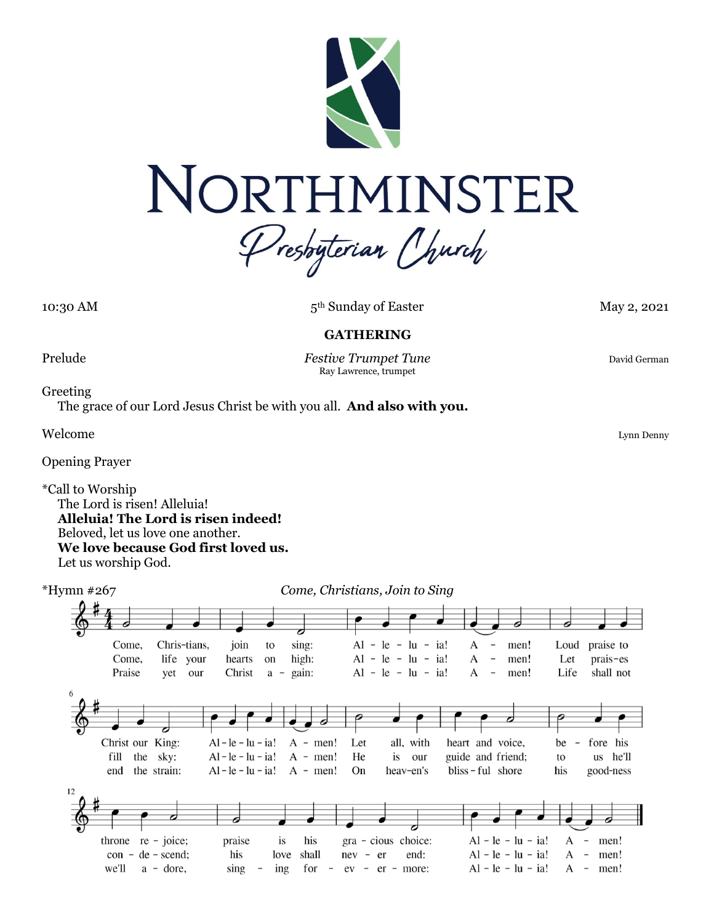

10:30 AM

5<sup>th</sup> Sunday of Easter May 2, 2021

## **GATHERING**

Prelude **Festive Trumpet Tune** David German **Prelude** David German Ray Lawrence, trumpet

Greeting

The grace of our Lord Jesus Christ be with you all. **And also with you.**

Welcome Lynn Denny

Opening Prayer

\*Call to Worship The Lord is risen! Alleluia! **Alleluia! The Lord is risen indeed!** Beloved, let us love one another. **We love because God first loved us.** Let us worship God.

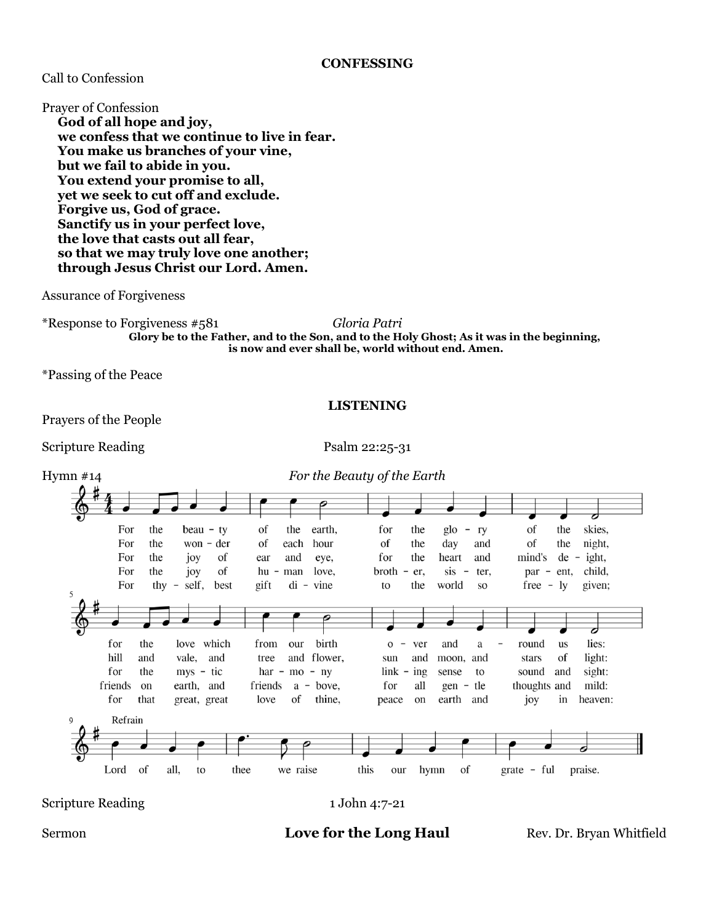## **CONFESSING**

# Call to Confession

Prayer of Confession

**God of all hope and joy, we confess that we continue to live in fear. You make us branches of your vine, but we fail to abide in you. You extend your promise to all, yet we seek to cut off and exclude. Forgive us, God of grace. Sanctify us in your perfect love, the love that casts out all fear, so that we may truly love one another; through Jesus Christ our Lord. Amen.**

#### Assurance of Forgiveness

\*Response to Forgiveness #581 *Gloria Patri* **Glory be to the Father, and to the Son, and to the Holy Ghost; As it was in the beginning, is now and ever shall be, world without end. Amen.**

\*Passing of the Peace

Prayers of the People

Scripture Reading Psalm 22:25-31

**LISTENING**



Scripture Reading 1 John 4:7-21

## Sermon **Love for the Long Haul** Rev. Dr. Bryan Whitfield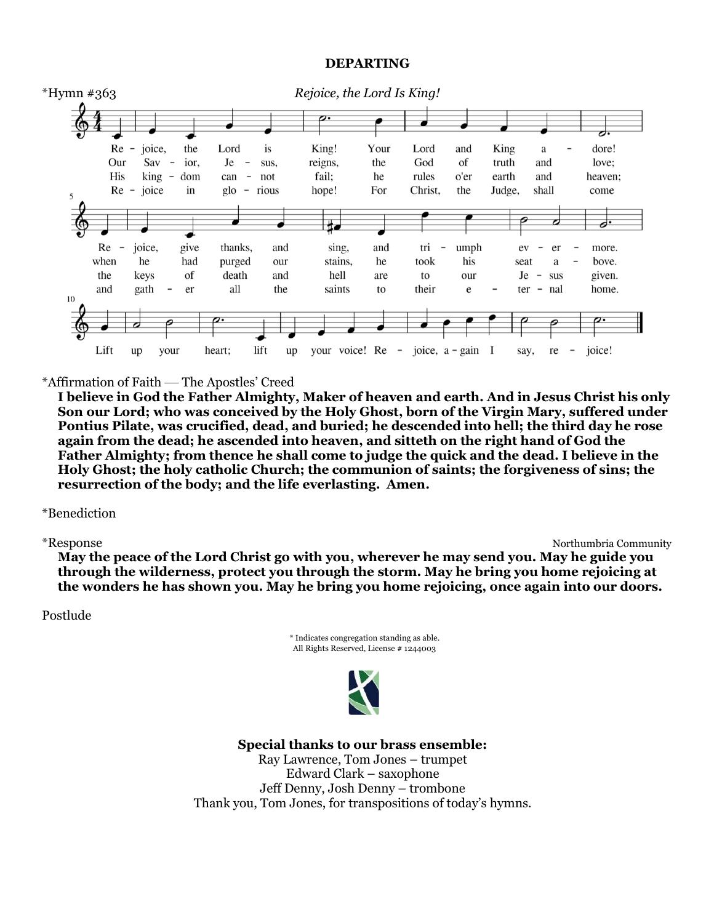## **DEPARTING**



#### \*Affirmation of Faith — The Apostles' Creed

**I believe in God the Father Almighty, Maker of heaven and earth. And in Jesus Christ his only Son our Lord; who was conceived by the Holy Ghost, born of the Virgin Mary, suffered under Pontius Pilate, was crucified, dead, and buried; he descended into hell; the third day he rose again from the dead; he ascended into heaven, and sitteth on the right hand of God the Father Almighty; from thence he shall come to judge the quick and the dead. I believe in the Holy Ghost; the holy catholic Church; the communion of saints; the forgiveness of sins; the resurrection of the body; and the life everlasting. Amen.**

#### \*Benediction

\*Response Northumbria Community

**May the peace of the Lord Christ go with you, wherever he may send you. May he guide you through the wilderness, protect you through the storm. May he bring you home rejoicing at the wonders he has shown you. May he bring you home rejoicing, once again into our doors.**

#### Postlude





**Special thanks to our brass ensemble:**

Ray Lawrence, Tom Jones – trumpet Edward Clark – saxophone Jeff Denny, Josh Denny – trombone Thank you, Tom Jones, for transpositions of today's hymns.